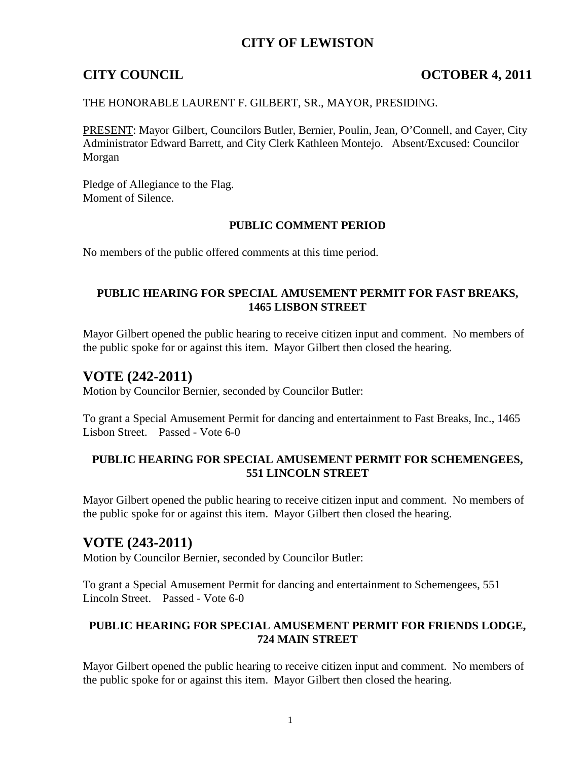## **CITY OF LEWISTON**

## **CITY COUNCIL COUNCIL COUNCIL COUNCIL COUNCIL COUNCIL COUNCIL**

### THE HONORABLE LAURENT F. GILBERT, SR., MAYOR, PRESIDING.

PRESENT: Mayor Gilbert, Councilors Butler, Bernier, Poulin, Jean, O'Connell, and Cayer, City Administrator Edward Barrett, and City Clerk Kathleen Montejo. Absent/Excused: Councilor Morgan

Pledge of Allegiance to the Flag. Moment of Silence.

### **PUBLIC COMMENT PERIOD**

No members of the public offered comments at this time period.

## **PUBLIC HEARING FOR SPECIAL AMUSEMENT PERMIT FOR FAST BREAKS, 1465 LISBON STREET**

Mayor Gilbert opened the public hearing to receive citizen input and comment. No members of the public spoke for or against this item. Mayor Gilbert then closed the hearing.

## **VOTE (242-2011)**

Motion by Councilor Bernier, seconded by Councilor Butler:

To grant a Special Amusement Permit for dancing and entertainment to Fast Breaks, Inc., 1465 Lisbon Street. Passed - Vote 6-0

### **PUBLIC HEARING FOR SPECIAL AMUSEMENT PERMIT FOR SCHEMENGEES, 551 LINCOLN STREET**

Mayor Gilbert opened the public hearing to receive citizen input and comment. No members of the public spoke for or against this item. Mayor Gilbert then closed the hearing.

## **VOTE (243-2011)**

Motion by Councilor Bernier, seconded by Councilor Butler:

To grant a Special Amusement Permit for dancing and entertainment to Schemengees, 551 Lincoln Street. Passed - Vote 6-0

## **PUBLIC HEARING FOR SPECIAL AMUSEMENT PERMIT FOR FRIENDS LODGE, 724 MAIN STREET**

Mayor Gilbert opened the public hearing to receive citizen input and comment. No members of the public spoke for or against this item. Mayor Gilbert then closed the hearing.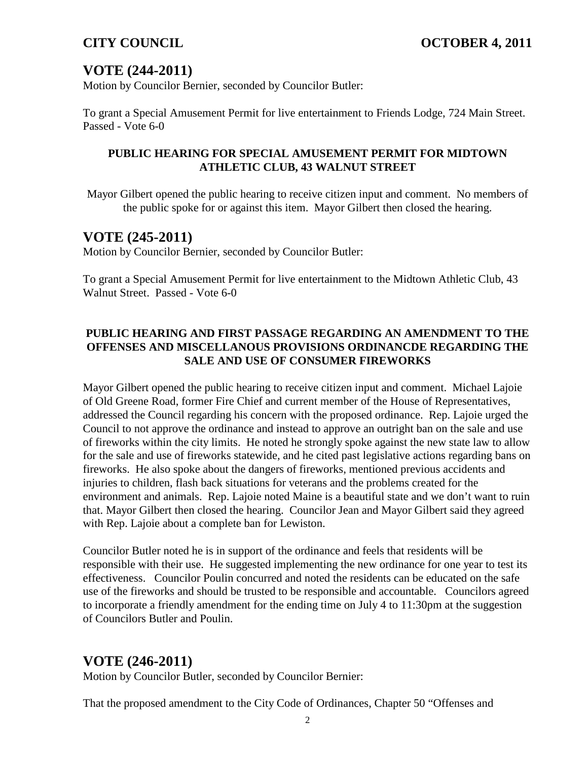# **VOTE (244-2011)**

Motion by Councilor Bernier, seconded by Councilor Butler:

To grant a Special Amusement Permit for live entertainment to Friends Lodge, 724 Main Street. Passed - Vote 6-0

## **PUBLIC HEARING FOR SPECIAL AMUSEMENT PERMIT FOR MIDTOWN ATHLETIC CLUB, 43 WALNUT STREET**

Mayor Gilbert opened the public hearing to receive citizen input and comment. No members of the public spoke for or against this item. Mayor Gilbert then closed the hearing.

# **VOTE (245-2011)**

Motion by Councilor Bernier, seconded by Councilor Butler:

To grant a Special Amusement Permit for live entertainment to the Midtown Athletic Club, 43 Walnut Street. Passed - Vote 6-0

## **PUBLIC HEARING AND FIRST PASSAGE REGARDING AN AMENDMENT TO THE OFFENSES AND MISCELLANOUS PROVISIONS ORDINANCDE REGARDING THE SALE AND USE OF CONSUMER FIREWORKS**

Mayor Gilbert opened the public hearing to receive citizen input and comment. Michael Lajoie of Old Greene Road, former Fire Chief and current member of the House of Representatives, addressed the Council regarding his concern with the proposed ordinance. Rep. Lajoie urged the Council to not approve the ordinance and instead to approve an outright ban on the sale and use of fireworks within the city limits. He noted he strongly spoke against the new state law to allow for the sale and use of fireworks statewide, and he cited past legislative actions regarding bans on fireworks. He also spoke about the dangers of fireworks, mentioned previous accidents and injuries to children, flash back situations for veterans and the problems created for the environment and animals. Rep. Lajoie noted Maine is a beautiful state and we don't want to ruin that. Mayor Gilbert then closed the hearing. Councilor Jean and Mayor Gilbert said they agreed with Rep. Lajoie about a complete ban for Lewiston.

Councilor Butler noted he is in support of the ordinance and feels that residents will be responsible with their use. He suggested implementing the new ordinance for one year to test its effectiveness. Councilor Poulin concurred and noted the residents can be educated on the safe use of the fireworks and should be trusted to be responsible and accountable. Councilors agreed to incorporate a friendly amendment for the ending time on July 4 to 11:30pm at the suggestion of Councilors Butler and Poulin.

# **VOTE (246-2011)**

Motion by Councilor Butler, seconded by Councilor Bernier:

That the proposed amendment to the City Code of Ordinances, Chapter 50 "Offenses and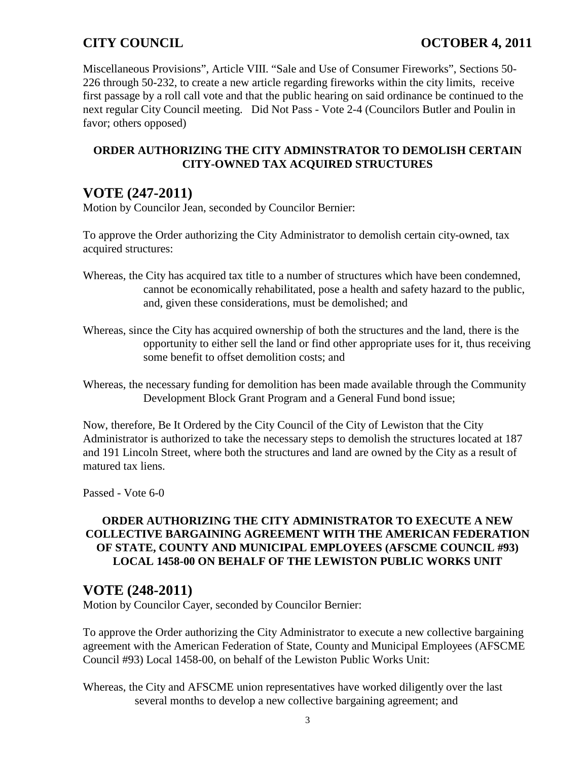Miscellaneous Provisions", Article VIII. "Sale and Use of Consumer Fireworks", Sections 50- 226 through 50-232, to create a new article regarding fireworks within the city limits, receive first passage by a roll call vote and that the public hearing on said ordinance be continued to the next regular City Council meeting. Did Not Pass - Vote 2-4 (Councilors Butler and Poulin in favor; others opposed)

## **ORDER AUTHORIZING THE CITY ADMINSTRATOR TO DEMOLISH CERTAIN CITY-OWNED TAX ACQUIRED STRUCTURES**

# **VOTE (247-2011)**

Motion by Councilor Jean, seconded by Councilor Bernier:

To approve the Order authorizing the City Administrator to demolish certain city-owned, tax acquired structures:

- Whereas, the City has acquired tax title to a number of structures which have been condemned, cannot be economically rehabilitated, pose a health and safety hazard to the public, and, given these considerations, must be demolished; and
- Whereas, since the City has acquired ownership of both the structures and the land, there is the opportunity to either sell the land or find other appropriate uses for it, thus receiving some benefit to offset demolition costs; and

Whereas, the necessary funding for demolition has been made available through the Community Development Block Grant Program and a General Fund bond issue;

Now, therefore, Be It Ordered by the City Council of the City of Lewiston that the City Administrator is authorized to take the necessary steps to demolish the structures located at 187 and 191 Lincoln Street, where both the structures and land are owned by the City as a result of matured tax liens.

Passed - Vote 6-0

## **ORDER AUTHORIZING THE CITY ADMINISTRATOR TO EXECUTE A NEW COLLECTIVE BARGAINING AGREEMENT WITH THE AMERICAN FEDERATION OF STATE, COUNTY AND MUNICIPAL EMPLOYEES (AFSCME COUNCIL #93) LOCAL 1458-00 ON BEHALF OF THE LEWISTON PUBLIC WORKS UNIT**

## **VOTE (248-2011)**

Motion by Councilor Cayer, seconded by Councilor Bernier:

To approve the Order authorizing the City Administrator to execute a new collective bargaining agreement with the American Federation of State, County and Municipal Employees (AFSCME Council #93) Local 1458-00, on behalf of the Lewiston Public Works Unit:

Whereas, the City and AFSCME union representatives have worked diligently over the last several months to develop a new collective bargaining agreement; and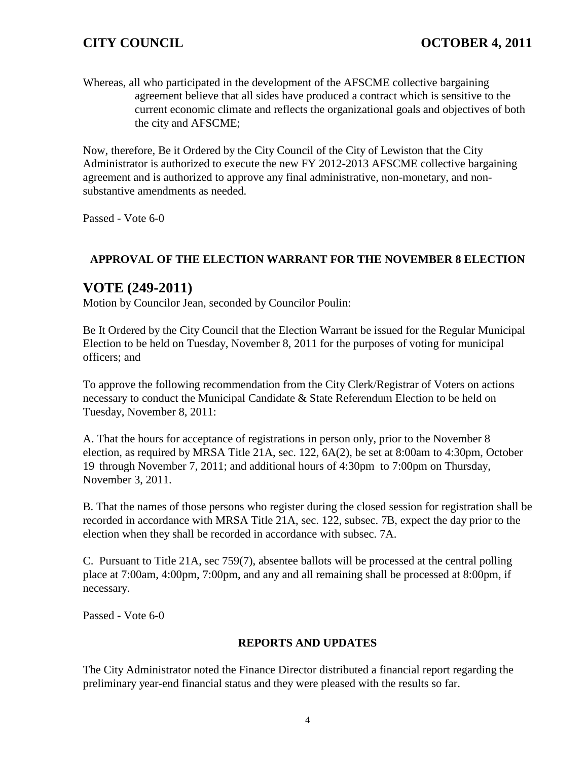Whereas, all who participated in the development of the AFSCME collective bargaining agreement believe that all sides have produced a contract which is sensitive to the current economic climate and reflects the organizational goals and objectives of both the city and AFSCME;

Now, therefore, Be it Ordered by the City Council of the City of Lewiston that the City Administrator is authorized to execute the new FY 2012-2013 AFSCME collective bargaining agreement and is authorized to approve any final administrative, non-monetary, and nonsubstantive amendments as needed.

Passed - Vote 6-0

## **APPROVAL OF THE ELECTION WARRANT FOR THE NOVEMBER 8 ELECTION**

## **VOTE (249-2011)**

Motion by Councilor Jean, seconded by Councilor Poulin:

Be It Ordered by the City Council that the Election Warrant be issued for the Regular Municipal Election to be held on Tuesday, November 8, 2011 for the purposes of voting for municipal officers; and

To approve the following recommendation from the City Clerk/Registrar of Voters on actions necessary to conduct the Municipal Candidate & State Referendum Election to be held on Tuesday, November 8, 2011:

A. That the hours for acceptance of registrations in person only, prior to the November 8 election, as required by MRSA Title 21A, sec. 122, 6A(2), be set at 8:00am to 4:30pm, October 19 through November 7, 2011; and additional hours of 4:30pm to 7:00pm on Thursday, November 3, 2011.

B. That the names of those persons who register during the closed session for registration shall be recorded in accordance with MRSA Title 21A, sec. 122, subsec. 7B, expect the day prior to the election when they shall be recorded in accordance with subsec. 7A.

C. Pursuant to Title 21A, sec 759(7), absentee ballots will be processed at the central polling place at 7:00am, 4:00pm, 7:00pm, and any and all remaining shall be processed at 8:00pm, if necessary.

Passed - Vote 6-0

## **REPORTS AND UPDATES**

The City Administrator noted the Finance Director distributed a financial report regarding the preliminary year-end financial status and they were pleased with the results so far.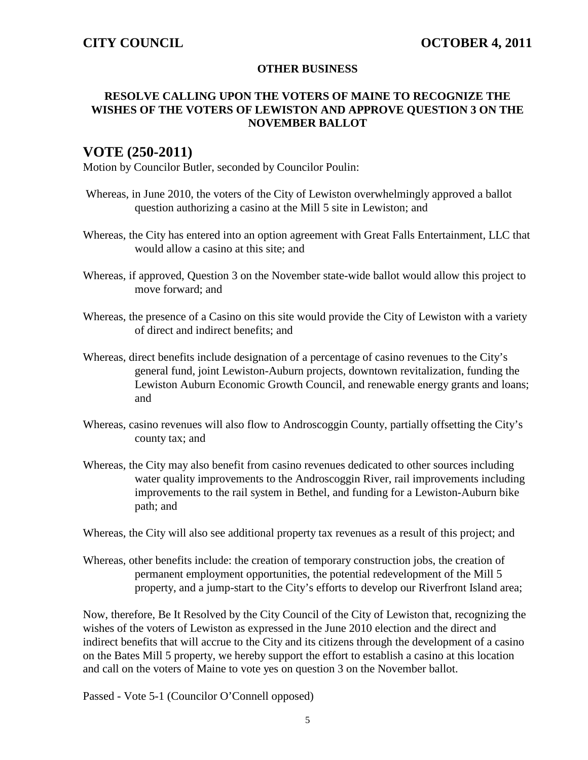### **OTHER BUSINESS**

## **RESOLVE CALLING UPON THE VOTERS OF MAINE TO RECOGNIZE THE WISHES OF THE VOTERS OF LEWISTON AND APPROVE QUESTION 3 ON THE NOVEMBER BALLOT**

## **VOTE (250-2011)**

Motion by Councilor Butler, seconded by Councilor Poulin:

- Whereas, in June 2010, the voters of the City of Lewiston overwhelmingly approved a ballot question authorizing a casino at the Mill 5 site in Lewiston; and
- Whereas, the City has entered into an option agreement with Great Falls Entertainment, LLC that would allow a casino at this site; and
- Whereas, if approved, Question 3 on the November state-wide ballot would allow this project to move forward; and
- Whereas, the presence of a Casino on this site would provide the City of Lewiston with a variety of direct and indirect benefits; and
- Whereas, direct benefits include designation of a percentage of casino revenues to the City's general fund, joint Lewiston-Auburn projects, downtown revitalization, funding the Lewiston Auburn Economic Growth Council, and renewable energy grants and loans; and
- Whereas, casino revenues will also flow to Androscoggin County, partially offsetting the City's county tax; and
- Whereas, the City may also benefit from casino revenues dedicated to other sources including water quality improvements to the Androscoggin River, rail improvements including improvements to the rail system in Bethel, and funding for a Lewiston-Auburn bike path; and

Whereas, the City will also see additional property tax revenues as a result of this project; and

Whereas, other benefits include: the creation of temporary construction jobs, the creation of permanent employment opportunities, the potential redevelopment of the Mill 5 property, and a jump-start to the City's efforts to develop our Riverfront Island area;

Now, therefore, Be It Resolved by the City Council of the City of Lewiston that, recognizing the wishes of the voters of Lewiston as expressed in the June 2010 election and the direct and indirect benefits that will accrue to the City and its citizens through the development of a casino on the Bates Mill 5 property, we hereby support the effort to establish a casino at this location and call on the voters of Maine to vote yes on question 3 on the November ballot.

Passed - Vote 5-1 (Councilor O'Connell opposed)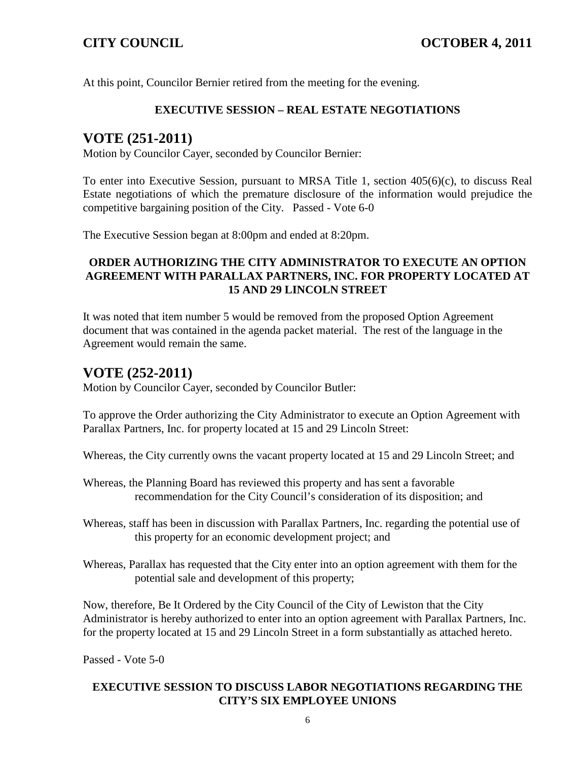At this point, Councilor Bernier retired from the meeting for the evening.

### **EXECUTIVE SESSION – REAL ESTATE NEGOTIATIONS**

# **VOTE (251-2011)**

Motion by Councilor Cayer, seconded by Councilor Bernier:

To enter into Executive Session, pursuant to MRSA Title 1, section 405(6)(c), to discuss Real Estate negotiations of which the premature disclosure of the information would prejudice the competitive bargaining position of the City. Passed - Vote 6-0

The Executive Session began at 8:00pm and ended at 8:20pm.

## **ORDER AUTHORIZING THE CITY ADMINISTRATOR TO EXECUTE AN OPTION AGREEMENT WITH PARALLAX PARTNERS, INC. FOR PROPERTY LOCATED AT 15 AND 29 LINCOLN STREET**

It was noted that item number 5 would be removed from the proposed Option Agreement document that was contained in the agenda packet material. The rest of the language in the Agreement would remain the same.

# **VOTE (252-2011)**

Motion by Councilor Cayer, seconded by Councilor Butler:

To approve the Order authorizing the City Administrator to execute an Option Agreement with Parallax Partners, Inc. for property located at 15 and 29 Lincoln Street:

Whereas, the City currently owns the vacant property located at 15 and 29 Lincoln Street; and

- Whereas, the Planning Board has reviewed this property and has sent a favorable recommendation for the City Council's consideration of its disposition; and
- Whereas, staff has been in discussion with Parallax Partners, Inc. regarding the potential use of this property for an economic development project; and
- Whereas, Parallax has requested that the City enter into an option agreement with them for the potential sale and development of this property;

Now, therefore, Be It Ordered by the City Council of the City of Lewiston that the City Administrator is hereby authorized to enter into an option agreement with Parallax Partners, Inc. for the property located at 15 and 29 Lincoln Street in a form substantially as attached hereto.

Passed - Vote 5-0

## **EXECUTIVE SESSION TO DISCUSS LABOR NEGOTIATIONS REGARDING THE CITY'S SIX EMPLOYEE UNIONS**